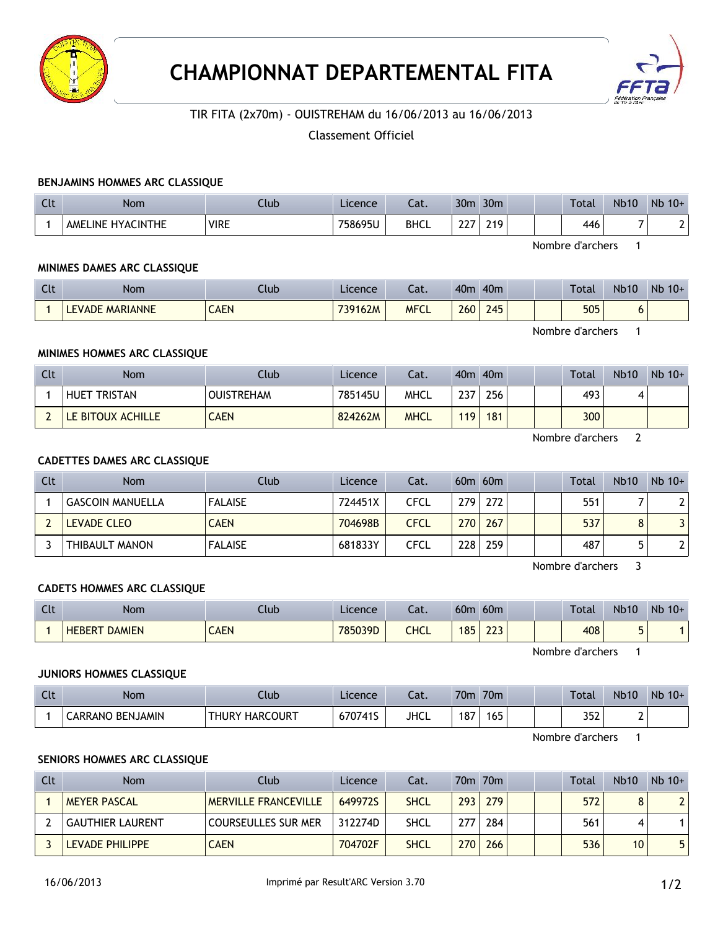



## TIR FITA (2x70m) - OUISTREHAM du 16/06/2013 au 16/06/2013

## Classement Officiel

#### **BENJAMINS HOMMES ARC CLASSIQUE**

| Clt | <b>Nom</b>        | Club        | Licence | $-1$<br>cal. | 30 <sub>m</sub>             | 30 <sub>m</sub>  |  | Total | <b>Nb10</b> | Nb<br>$10+$ |
|-----|-------------------|-------------|---------|--------------|-----------------------------|------------------|--|-------|-------------|-------------|
|     | AMELINE HYACINTHE | <b>VIRE</b> | 758695U | <b>BHCL</b>  | $\sim$ $\sim$ $\sim$<br>LL. | 210.<br><u>.</u> |  | 446   |             |             |

Nombre d'archers 1

### **MINIMES DAMES ARC CLASSIQUE**

| <b>Clt</b> | Nom                       | Ilub        | Licence | $\sim$<br>cal. | 40 <sub>m</sub> | 40 <sub>m</sub> |  | <b>Total</b> | <b>Nb10</b> | Nb<br>$10+$ |
|------------|---------------------------|-------------|---------|----------------|-----------------|-----------------|--|--------------|-------------|-------------|
|            | <b>MARIANNE</b><br>EVADE, | <b>CAEN</b> | 739162M | <b>MFCL</b>    | 260             | 245             |  | 505          | u           |             |

Nombre d'archers 1

#### **MINIMES HOMMES ARC CLASSIQUE**

| Clt | <b>Nom</b>          | Club              | Licence | Cat.        |            | 40m 40m |  | <b>Total</b> | <b>Nb10</b> | $Nb$ 10+ |
|-----|---------------------|-------------------|---------|-------------|------------|---------|--|--------------|-------------|----------|
|     | <b>HUET TRISTAN</b> | <b>OUISTREHAM</b> | 785145U | <b>MHCL</b> | 237<br>2J. | 256     |  | 493          |             |          |
|     | LE BITOUX ACHILLE   | <b>AEN</b>        | 824262M | <b>MHCL</b> | 119        | 181     |  | 300          |             |          |

Nombre d'archers 2

## **CADETTES DAMES ARC CLASSIQUE**

| Clt | <b>Nom</b>              | Club           | Licence | Cat.        |                  | $60m$ $60m$ |  | <b>Total</b> | <b>Nb10</b> | $Nb$ 10+ |
|-----|-------------------------|----------------|---------|-------------|------------------|-------------|--|--------------|-------------|----------|
|     | <b>GASCOIN MANUELLA</b> | <b>FALAISE</b> | 724451X | CFCL        | 2791             | 272         |  | 551          |             |          |
|     | LEVADE CLEO             | <b>CAEN</b>    | 704698B | <b>CFCL</b> | 270              | 267         |  | 537          |             |          |
|     | THIBAULT MANON          | <b>FALAISE</b> | 681833Y | <b>CFCL</b> | 228 <sub>1</sub> | 259         |  | 487          |             |          |

Nombre d'archers 3

#### **CADETS HOMMES ARC CLASSIQUE**

| $\sim$ | <b>Nom</b>                     | lub.        | Licence | - 1<br>cal. | 60 <sub>0</sub> | 60 <sub>m</sub> |  | <b>Total</b> | <b>Nb10</b> | Nb<br>$10+$ |
|--------|--------------------------------|-------------|---------|-------------|-----------------|-----------------|--|--------------|-------------|-------------|
|        | <b>DAMIEN</b><br><b>HEBERT</b> | <b>CAEN</b> | 785039D | <b>CHCL</b> | 185             | ววว<br>773      |  | 408          |             |             |

Nombre d'archers 1

#### **JUNIORS HOMMES CLASSIQUE**

| Clt | <b>Nom</b>       | lub:                      | Licence | Cat.        | 70m | 70 <sub>m</sub> |  | Total | <b>Nb10</b> | <b>N<sub>b</sub></b><br>$10+$ |
|-----|------------------|---------------------------|---------|-------------|-----|-----------------|--|-------|-------------|-------------------------------|
|     | CARRANO BENJAMIN | <b>HARCOURT</b><br>THURY, | 670741S | <b>JHCL</b> | 187 | 165             |  | 352   | -           |                               |

Nombre d'archers 1

#### **SENIORS HOMMES ARC CLASSIQUE**

| Clt | <b>Nom</b>              | Club                        | Licence | Cat.        |     | 70m 70m |  | Total | <b>Nb10</b>     | $Nb$ 10+ |
|-----|-------------------------|-----------------------------|---------|-------------|-----|---------|--|-------|-----------------|----------|
|     | <b>MEYER PASCAL</b>     | <b>MERVILLE FRANCEVILLE</b> | 649972S | <b>SHCL</b> | 293 | 279     |  | 572   |                 |          |
|     | <b>GAUTHIER LAURENT</b> | COURSEULLES SUR MER         | 312274D | SHCL        | 277 | 284     |  | 561   |                 |          |
|     | LEVADE PHILIPPE         | <b>CAEN</b>                 | 704702F | <b>SHCL</b> | 270 | 266     |  | 536   | 10 <sup>°</sup> |          |